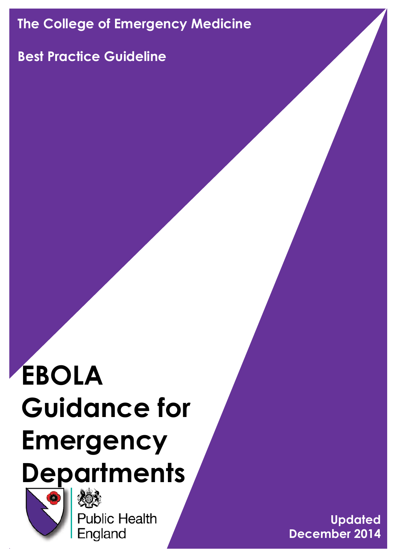# **The College of Emergency Medicine**

# **Best Practice Guideline**

# **EBOLA Guidance for Emergency Departments**



**Public Health** England

**Updated December 2014**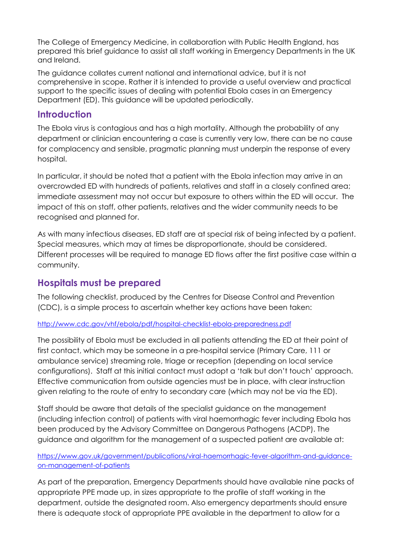The College of Emergency Medicine, in collaboration with Public Health England, has prepared this brief guidance to assist all staff working in Emergency Departments in the UK and Ireland.

The guidance collates current national and international advice, but it is not comprehensive in scope. Rather it is intended to provide a useful overview and practical support to the specific issues of dealing with potential Ebola cases in an Emergency Department (ED). This guidance will be updated periodically.

#### **Introduction**

The Ebola virus is contagious and has a high mortality. Although the probability of any department or clinician encountering a case is currently very low, there can be no cause for complacency and sensible, pragmatic planning must underpin the response of every hospital.

In particular, it should be noted that a patient with the Ebola infection may arrive in an overcrowded ED with hundreds of patients, relatives and staff in a closely confined area; immediate assessment may not occur but exposure to others within the ED will occur. The impact of this on staff, other patients, relatives and the wider community needs to be recognised and planned for.

As with many infectious diseases, ED staff are at special risk of being infected by a patient. Special measures, which may at times be disproportionate, should be considered. Different processes will be required to manage ED flows after the first positive case within a community.

## **Hospitals must be prepared**

The following checklist, produced by the Centres for Disease Control and Prevention (CDC), is a simple process to ascertain whether key actions have been taken:

#### <http://www.cdc.gov/vhf/ebola/pdf/hospital-checklist-ebola-preparedness.pdf>

The possibility of Ebola must be excluded in all patients attending the ED at their point of first contact, which may be someone in a pre-hospital service (Primary Care, 111 or ambulance service) streaming role, triage or reception (depending on local service configurations). Staff at this initial contact must adopt a 'talk but don't touch' approach. Effective communication from outside agencies must be in place, with clear instruction given relating to the route of entry to secondary care (which may not be via the ED).

Staff should be aware that details of the specialist guidance on the management (including infection control) of patients with viral haemorrhagic fever including Ebola has been produced by the Advisory Committee on Dangerous Pathogens (ACDP). The guidance and algorithm for the management of a suspected patient are available at:

#### [https://www.gov.uk/government/publications/viral-haemorrhagic-fever-algorithm-and-guidance](https://www.gov.uk/government/publications/viral-haemorrhagic-fever-algorithm-and-guidance-on-management-of-patients)[on-management-of-patients](https://www.gov.uk/government/publications/viral-haemorrhagic-fever-algorithm-and-guidance-on-management-of-patients)

As part of the preparation, Emergency Departments should have available nine packs of appropriate PPE made up, in sizes appropriate to the profile of staff working in the department, outside the designated room. Also emergency departments should ensure there is adequate stock of appropriate PPE available in the department to allow for a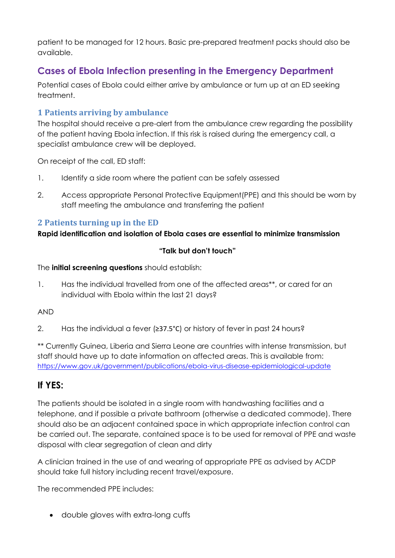patient to be managed for 12 hours. Basic pre-prepared treatment packs should also be available.

# **Cases of Ebola Infection presenting in the Emergency Department**

Potential cases of Ebola could either arrive by ambulance or turn up at an ED seeking treatment.

#### **1 Patients arriving by ambulance**

The hospital should receive a pre-alert from the ambulance crew regarding the possibility of the patient having Ebola infection. If this risk is raised during the emergency call, a specialist ambulance crew will be deployed.

On receipt of the call, ED staff:

- 1. Identify a side room where the patient can be safely assessed
- 2. Access appropriate Personal Protective Equipment(PPE) and this should be worn by staff meeting the ambulance and transferring the patient

#### **2 Patients turning up in the ED**

#### **Rapid identification and isolation of Ebola cases are essential to minimize transmission**

#### **"Talk but don't touch"**

The **initial screening questions** should establish:

1. Has the individual travelled from one of the affected areas\*\*, or cared for an individual with Ebola within the last 21 days?

#### AND

2. Has the individual a fever (≥37.5°C) or history of fever in past 24 hours?

\*\* Currently Guinea, Liberia and Sierra Leone are countries with intense transmission, but staff should have up to date information on affected areas. This is available from: <https://www.gov.uk/government/publications/ebola-virus-disease-epidemiological-update>

## **If YES:**

The patients should be isolated in a single room with handwashing facilities and a telephone, and if possible a private bathroom (otherwise a dedicated commode). There should also be an adjacent contained space in which appropriate infection control can be carried out. The separate, contained space is to be used for removal of PPE and waste disposal with clear segregation of clean and dirty

A clinician trained in the use of and wearing of appropriate PPE as advised by ACDP should take full history including recent travel/exposure.

The recommended PPE includes:

double gloves with extra-long cuffs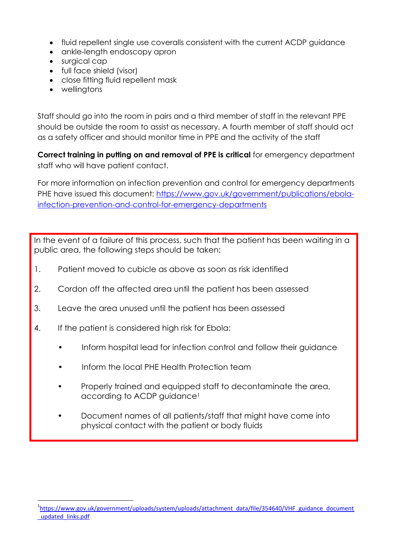- fluid repellent single use coveralls consistent with the current ACDP guidance
- ankle-length endoscopy apron
- surgical cap
- full face shield (visor)
- close fitting fluid repellent mask
- wellingtons

**.** 

Staff should go into the room in pairs and a third member of staff in the relevant PPE should be outside the room to assist as necessary. A fourth member of staff should act as a safety officer and should monitor time in PPE and the activity of the staff

**Correct training in putting on and removal of PPE is critical** for emergency department staff who will have patient contact.

For more information on infection prevention and control for emergency departments PHE have issued this document: [https://www.gov.uk/government/publications/ebola](https://www.gov.uk/government/publications/ebola-infection-prevention-and-control-for-emergency-departments)[infection-prevention-and-control-for-emergency-departments](https://www.gov.uk/government/publications/ebola-infection-prevention-and-control-for-emergency-departments)

In the event of a failure of this process, such that the patient has been waiting in a public area, the following steps should be taken:

- 1. Patient moved to cubicle as above as soon as risk identified
- 2. Cordon off the affected area until the patient has been assessed
- 3. Leave the area unused until the patient has been assessed
- 4. If the patient is considered high risk for Ebola:
	- Inform hospital lead for infection control and follow their guidance
	- Inform the local PHE Health Protection team
	- Properly trained and equipped staff to decontaminate the area, according to ACDP guidance<sup>1</sup>
	- Document names of all patients/staff that might have come into physical contact with the patient or body fluids

<sup>&</sup>lt;sup>1</sup>[https://www.gov.uk/government/uploads/system/uploads/attachment\\_data/file/354640/VHF\\_guidance\\_document](https://www.gov.uk/government/uploads/system/uploads/attachment_data/file/354640/VHF_guidance_document_updated_links.pdf) [\\_updated\\_links.pdf](https://www.gov.uk/government/uploads/system/uploads/attachment_data/file/354640/VHF_guidance_document_updated_links.pdf)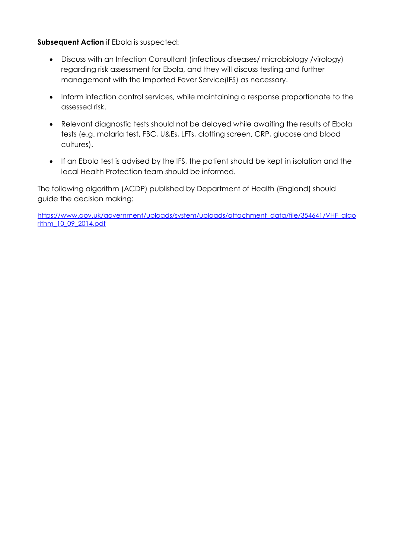#### **Subsequent Action** if Ebola is suspected:

- Discuss with an Infection Consultant (infectious diseases/ microbiology /virology) regarding risk assessment for Ebola, and they will discuss testing and further management with the Imported Fever Service(IFS) as necessary.
- Inform infection control services, while maintaining a response proportionate to the assessed risk.
- Relevant diagnostic tests should not be delayed while awaiting the results of Ebola tests (e.g. malaria test, FBC, U&Es, LFTs, clotting screen, CRP, glucose and blood cultures).
- If an Ebola test is advised by the IFS, the patient should be kept in isolation and the local Health Protection team should be informed.

The following algorithm (ACDP) published by Department of Health (England) should guide the decision making:

[https://www.gov.uk/government/uploads/system/uploads/attachment\\_data/file/354641/VHF\\_algo](https://www.gov.uk/government/uploads/system/uploads/attachment_data/file/354641/VHF_algorithm_10_09_2014.pdf) [rithm\\_10\\_09\\_2014.pdf](https://www.gov.uk/government/uploads/system/uploads/attachment_data/file/354641/VHF_algorithm_10_09_2014.pdf)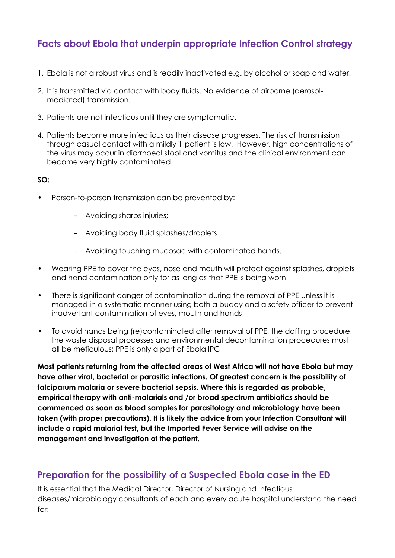## **Facts about Ebola that underpin appropriate Infection Control strategy**

- 1. Ebola is not a robust virus and is readily inactivated e.g. by alcohol or soap and water.
- 2. It is transmitted via contact with body fluids. No evidence of airborne (aerosolmediated) transmission.
- 3. Patients are not infectious until they are symptomatic.
- 4. Patients become more infectious as their disease progresses. The risk of transmission through casual contact with a mildly ill patient is low. However, high concentrations of the virus may occur in diarrhoeal stool and vomitus and the clinical environment can become very highly contaminated.

#### **SO:**

- Person-to-person transmission can be prevented by:
	- Avoiding sharps injuries;
	- Avoiding body fluid splashes/droplets
	- Avoiding touching mucosae with contaminated hands.
- Wearing PPE to cover the eyes, nose and mouth will protect against splashes, droplets and hand contamination only for as long as that PPE is being worn
- There is significant danger of contamination during the removal of PPE unless it is managed in a systematic manner using both a buddy and a safety officer to prevent inadvertant contamination of eyes, mouth and hands
- To avoid hands being (re)contaminated after removal of PPE, the doffing procedure, the waste disposal processes and environmental decontamination procedures must all be meticulous; PPE is only a part of Ebola IPC

**Most patients returning from the affected areas of West Africa will not have Ebola but may have other viral, bacterial or parasitic infections. Of greatest concern is the possibility of falciparum malaria or severe bacterial sepsis. Where this is regarded as probable, empirical therapy with anti-malarials and /or broad spectrum antibiotics should be commenced as soon as blood samples for parasitology and microbiology have been taken (with proper precautions). It is likely the advice from your Infection Consultant will include a rapid malarial test, but the Imported Fever Service will advise on the management and investigation of the patient.**

#### **Preparation for the possibility of a Suspected Ebola case in the ED**

It is essential that the Medical Director, Director of Nursing and Infectious diseases/microbiology consultants of each and every acute hospital understand the need for: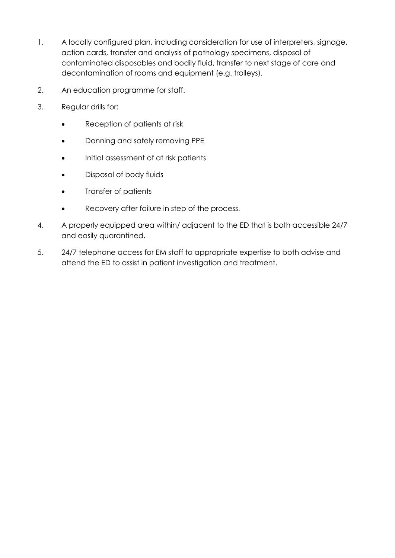- 1. A locally configured plan, including consideration for use of interpreters, signage, action cards, transfer and analysis of pathology specimens, disposal of contaminated disposables and bodily fluid, transfer to next stage of care and decontamination of rooms and equipment (e.g. trolleys).
- 2. An education programme for staff.
- 3. Regular drills for:
	- Reception of patients at risk
	- Donning and safely removing PPE
	- Initial assessment of at risk patients
	- Disposal of body fluids
	- Transfer of patients
	- Recovery after failure in step of the process.
- 4. A properly equipped area within/ adjacent to the ED that is both accessible 24/7 and easily quarantined.
- 5. 24/7 telephone access for EM staff to appropriate expertise to both advise and attend the ED to assist in patient investigation and treatment.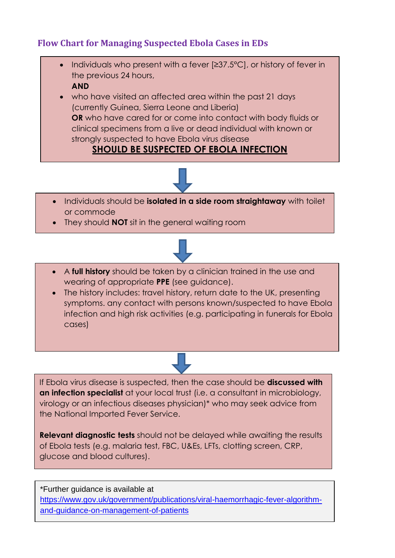## **Flow Chart for Managing Suspected Ebola Cases in EDs**

• Individuals who present with a fever [≥37.5°C], or history of fever in the previous 24 hours, **AND**

 who have visited an affected area within the past 21 days (currently Guinea, Sierra Leone and Liberia) **OR** who have cared for or come into contact with body fluids or clinical specimens from a live or dead individual with known or strongly suspected to have Ebola virus disease

**SHOULD BE SUSPECTED OF EBOLA INFECTION**



- Individuals should be **isolated in a side room straightaway** with toilet or commode
- They should **NOT** sit in the general waiting room



- A **full history** should be taken by a clinician trained in the use and wearing of appropriate **PPE** (see guidance).
- The history includes: travel history, return date to the UK, presenting symptoms. any contact with persons known/suspected to have Ebola infection and high risk activities (e.g. participating in funerals for Ebola cases)

If Ebola virus disease is suspected, then the case should be **discussed with an infection specialist** at your local trust (i.e. a consultant in microbiology, virology or an infectious diseases physician)\* who may seek advice from the National Imported Fever Service.

**Relevant diagnostic tests** should not be delayed while awaiting the results of Ebola tests (e.g. malaria test, FBC, U&Es, LFTs, clotting screen, CRP, glucose and blood cultures).

\* [https://www.gov.uk/government/publications/viral-haemorrhagic-fever-algorithm-](https://www.gov.uk/government/publications/viral-haemorrhagic-fever-algorithm-and-guidance-on-management-of-patients)\*Further guidance is available at [and-guidance-on-management-of-patients](https://www.gov.uk/government/publications/viral-haemorrhagic-fever-algorithm-and-guidance-on-management-of-patients)